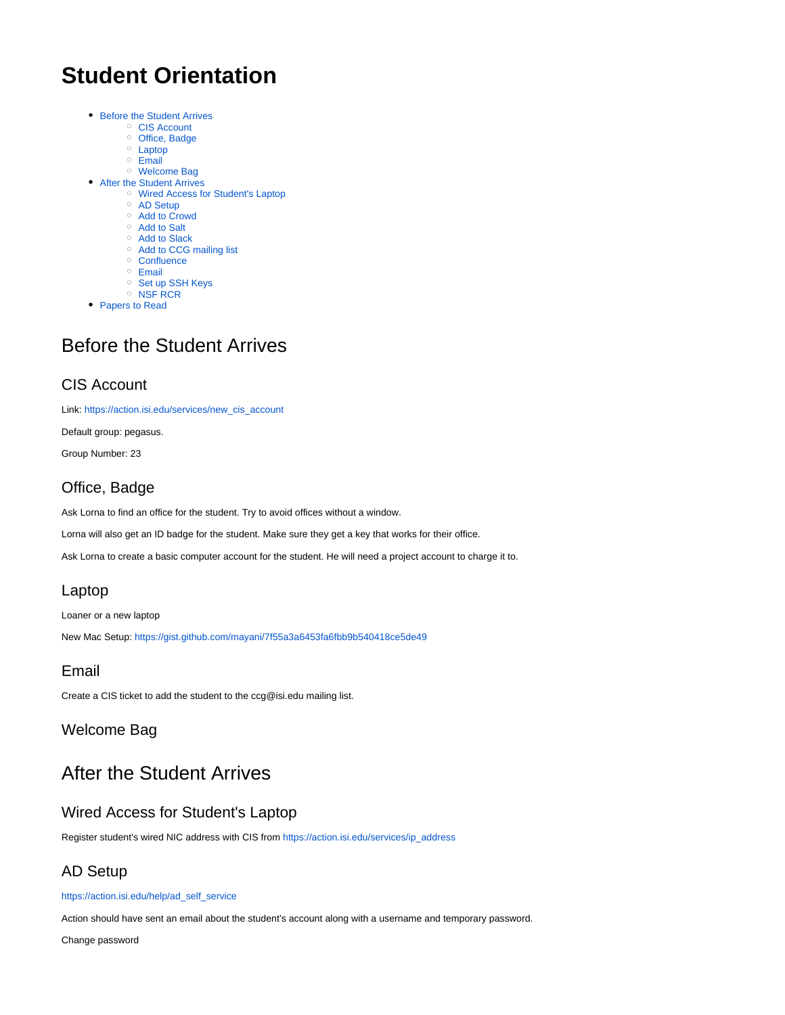# **Student Orientation**

- [Before the Student Arrives](#page-0-0)
	- [CIS Account](#page-0-1)
	- <sup>o</sup> [Office, Badge](#page-0-2)
	- <sup>o</sup> [Laptop](#page-0-3)
	- $\circ$  [Email](#page-0-4)
- [Welcome Bag](#page-0-5) [After the Student Arrives](#page-0-6)
	- [Wired Access for Student's Laptop](#page-0-7)
	- [AD Setup](#page-0-8)
	- [Add to Crowd](#page-1-0)
	- <sup>o</sup> [Add to Salt](#page-1-1)
	- [Add to Slack](#page-1-2)
	- <sup>o</sup> [Add to CCG mailing list](#page-1-3)
	- <sup>o</sup> [Confluence](#page-1-4)
	- <sup>o</sup> [Email](#page-1-5)
	- <sup>o</sup> [Set up SSH Keys](#page-1-6)
	- <sup>o</sup> [NSF RCR](#page-1-7)
- [Papers to Read](#page-1-8)

## <span id="page-0-0"></span>Before the Student Arrives

#### <span id="page-0-1"></span>CIS Account

Link: [https://action.isi.edu/services/new\\_cis\\_account](https://action.isi.edu/services/new_cis_account)

Default group: pegasus.

Group Number: 23

#### <span id="page-0-2"></span>Office, Badge

Ask Lorna to find an office for the student. Try to avoid offices without a window.

Lorna will also get an ID badge for the student. Make sure they get a key that works for their office.

Ask Lorna to create a basic computer account for the student. He will need a project account to charge it to.

#### <span id="page-0-3"></span>Laptop

Loaner or a new laptop

New Mac Setup:<https://gist.github.com/mayani/7f55a3a6453fa6fbb9b540418ce5de49>

#### <span id="page-0-4"></span>Email

Create a CIS ticket to add the student to the ccg@isi.edu mailing list.

#### <span id="page-0-5"></span>Welcome Bag

## <span id="page-0-6"></span>After the Student Arrives

#### <span id="page-0-7"></span>Wired Access for Student's Laptop

Register student's wired NIC address with CIS from [https://action.isi.edu/services/ip\\_address](https://action.isi.edu/services/ip_address)

### <span id="page-0-8"></span>AD Setup

#### [https://action.isi.edu/help/ad\\_self\\_service](https://action.isi.edu/help/ad_self_service)

Action should have sent an email about the student's account along with a username and temporary password.

Change password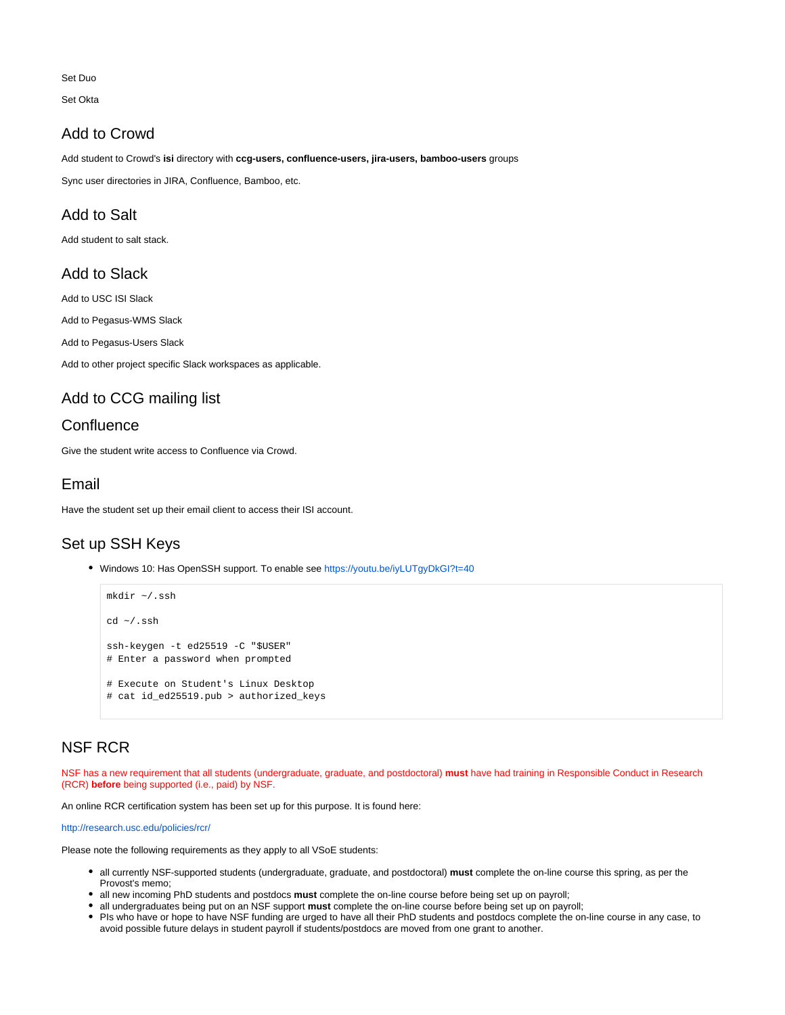Set Duo

Set Okta

#### <span id="page-1-0"></span>Add to Crowd

Add student to Crowd's **isi** directory with **ccg-users, confluence-users, jira-users, bamboo-users** groups

Sync user directories in JIRA, Confluence, Bamboo, etc.

#### <span id="page-1-1"></span>Add to Salt

Add student to salt stack.

#### <span id="page-1-2"></span>Add to Slack

Add to USC ISI Slack

Add to Pegasus-WMS Slack

Add to Pegasus-Users Slack

Add to other project specific Slack workspaces as applicable.

#### <span id="page-1-3"></span>Add to CCG mailing list

#### <span id="page-1-4"></span>**Confluence**

Give the student write access to Confluence via Crowd.

#### <span id="page-1-5"></span>Email

Have the student set up their email client to access their ISI account.

### <span id="page-1-6"></span>Set up SSH Keys

• Windows 10: Has OpenSSH support. To enable see<https://youtu.be/iyLUTgyDkGI?t=40>

```
mkdir ~/.ssh
cd ~/.ssh
ssh-keygen -t ed25519 -C "$USER"
# Enter a password when prompted
# Execute on Student's Linux Desktop
# cat id_ed25519.pub > authorized_keys
```
### <span id="page-1-7"></span>NSF RCR

NSF has a new requirement that all students (undergraduate, graduate, and postdoctoral) **must** have had training in Responsible Conduct in Research (RCR) **before** being supported (i.e., paid) by NSF.

An online RCR certification system has been set up for this purpose. It is found here:

<http://research.usc.edu/policies/rcr/>

Please note the following requirements as they apply to all VSoE students:

- all currently NSF-supported students (undergraduate, graduate, and postdoctoral) **must** complete the on-line course this spring, as per the Provost's memo;
- all new incoming PhD students and postdocs **must** complete the on-line course before being set up on payroll;
- all undergraduates being put on an NSF support **must** complete the on-line course before being set up on payroll;
- <span id="page-1-8"></span>PIs who have or hope to have NSF funding are urged to have all their PhD students and postdocs complete the on-line course in any case, to avoid possible future delays in student payroll if students/postdocs are moved from one grant to another.